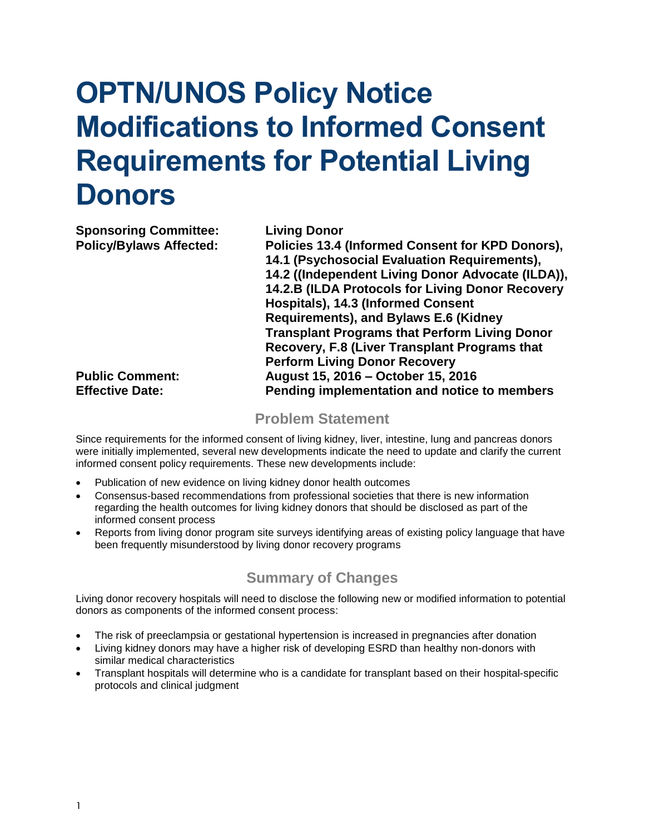# **OPTN/UNOS Policy Notice Modifications to Informed Consent Requirements for Potential Living Donors**

**Sponsoring Committee: Living Donor**

**Policy/Bylaws Affected: Policies 13.4 (Informed Consent for KPD Donors), 14.1 (Psychosocial Evaluation Requirements), 14.2 ((Independent Living Donor Advocate (ILDA)), 14.2.B (ILDA Protocols for Living Donor Recovery Hospitals), 14.3 (Informed Consent Requirements), and Bylaws E.6 (Kidney Transplant Programs that Perform Living Donor Recovery, F.8 (Liver Transplant Programs that Perform Living Donor Recovery Public Comment: August 15, 2016 – October 15, 2016 Effective Date: Pending implementation and notice to members**

#### **Problem Statement**

Since requirements for the informed consent of living kidney, liver, intestine, lung and pancreas donors were initially implemented, several new developments indicate the need to update and clarify the current informed consent policy requirements. These new developments include:

- Publication of new evidence on living kidney donor health outcomes
- Consensus-based recommendations from professional societies that there is new information regarding the health outcomes for living kidney donors that should be disclosed as part of the informed consent process
- Reports from living donor program site surveys identifying areas of existing policy language that have been frequently misunderstood by living donor recovery programs

#### **Summary of Changes**

Living donor recovery hospitals will need to disclose the following new or modified information to potential donors as components of the informed consent process:

- The risk of preeclampsia or gestational hypertension is increased in pregnancies after donation
- Living kidney donors may have a higher risk of developing ESRD than healthy non-donors with similar medical characteristics
- Transplant hospitals will determine who is a candidate for transplant based on their hospital-specific protocols and clinical judgment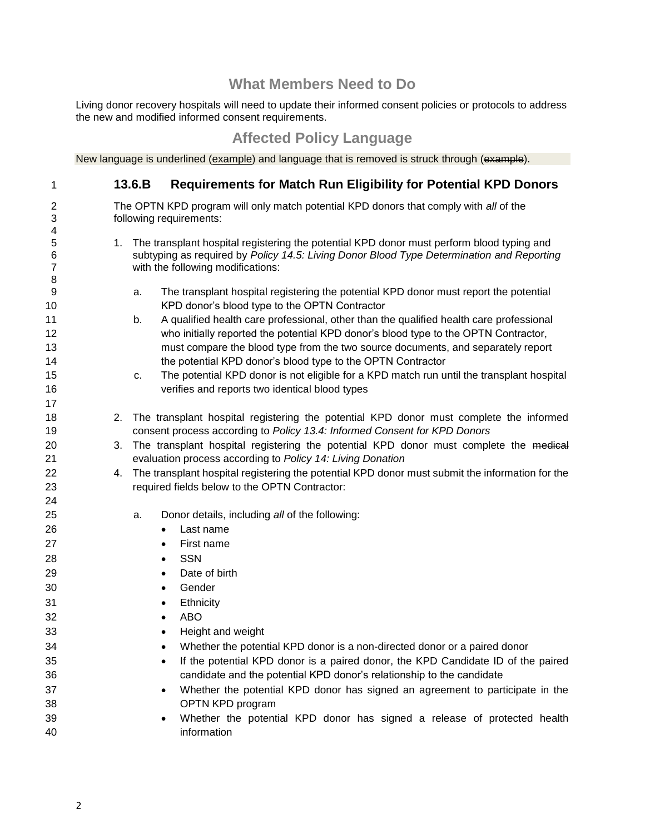#### **What Members Need to Do**

Living donor recovery hospitals will need to update their informed consent policies or protocols to address the new and modified informed consent requirements.

#### **Affected Policy Language**

New language is underlined (example) and language that is removed is struck through (example).

| 1              |    | <b>Requirements for Match Run Eligibility for Potential KPD Donors</b><br>13.6.B                                                                                                       |  |  |
|----------------|----|----------------------------------------------------------------------------------------------------------------------------------------------------------------------------------------|--|--|
| $\overline{2}$ |    | The OPTN KPD program will only match potential KPD donors that comply with all of the                                                                                                  |  |  |
| 3              |    | following requirements:                                                                                                                                                                |  |  |
| 4              |    |                                                                                                                                                                                        |  |  |
| 5<br>6         | 1. | The transplant hospital registering the potential KPD donor must perform blood typing and<br>subtyping as required by Policy 14.5: Living Donor Blood Type Determination and Reporting |  |  |
| $\overline{7}$ |    | with the following modifications:                                                                                                                                                      |  |  |
| 8              |    |                                                                                                                                                                                        |  |  |
| 9              |    | The transplant hospital registering the potential KPD donor must report the potential<br>a.                                                                                            |  |  |
| 10             |    | KPD donor's blood type to the OPTN Contractor                                                                                                                                          |  |  |
| 11             |    | A qualified health care professional, other than the qualified health care professional<br>b.                                                                                          |  |  |
| 12             |    | who initially reported the potential KPD donor's blood type to the OPTN Contractor,                                                                                                    |  |  |
| 13             |    | must compare the blood type from the two source documents, and separately report                                                                                                       |  |  |
| 14             |    | the potential KPD donor's blood type to the OPTN Contractor                                                                                                                            |  |  |
| 15             |    | The potential KPD donor is not eligible for a KPD match run until the transplant hospital<br>c.                                                                                        |  |  |
| 16             |    | verifies and reports two identical blood types                                                                                                                                         |  |  |
| 17             |    |                                                                                                                                                                                        |  |  |
| 18             | 2. | The transplant hospital registering the potential KPD donor must complete the informed                                                                                                 |  |  |
| 19             |    | consent process according to Policy 13.4: Informed Consent for KPD Donors                                                                                                              |  |  |
| 20             | 3. | The transplant hospital registering the potential KPD donor must complete the medical                                                                                                  |  |  |
| 21<br>22       |    | evaluation process according to Policy 14: Living Donation<br>The transplant hospital registering the potential KPD donor must submit the information for the                          |  |  |
| 23             | 4. | required fields below to the OPTN Contractor:                                                                                                                                          |  |  |
| 24             |    |                                                                                                                                                                                        |  |  |
| 25             |    | Donor details, including all of the following:<br>a.                                                                                                                                   |  |  |
| 26             |    | Last name                                                                                                                                                                              |  |  |
| 27             |    | First name<br>٠                                                                                                                                                                        |  |  |
| 28             |    | <b>SSN</b><br>$\bullet$                                                                                                                                                                |  |  |
| 29             |    | Date of birth<br>$\bullet$                                                                                                                                                             |  |  |
| 30             |    | Gender<br>$\bullet$                                                                                                                                                                    |  |  |
| 31             |    | Ethnicity                                                                                                                                                                              |  |  |
| 32             |    | <b>ABO</b><br>$\bullet$                                                                                                                                                                |  |  |
| 33             |    | Height and weight<br>$\bullet$                                                                                                                                                         |  |  |
| 34             |    | Whether the potential KPD donor is a non-directed donor or a paired donor                                                                                                              |  |  |
| 35             |    | If the potential KPD donor is a paired donor, the KPD Candidate ID of the paired                                                                                                       |  |  |
| 36             |    | candidate and the potential KPD donor's relationship to the candidate                                                                                                                  |  |  |
| 37             |    | Whether the potential KPD donor has signed an agreement to participate in the                                                                                                          |  |  |
| 38             |    | OPTN KPD program                                                                                                                                                                       |  |  |
| 39             |    | Whether the potential KPD donor has signed a release of protected health                                                                                                               |  |  |
| 40             |    | information                                                                                                                                                                            |  |  |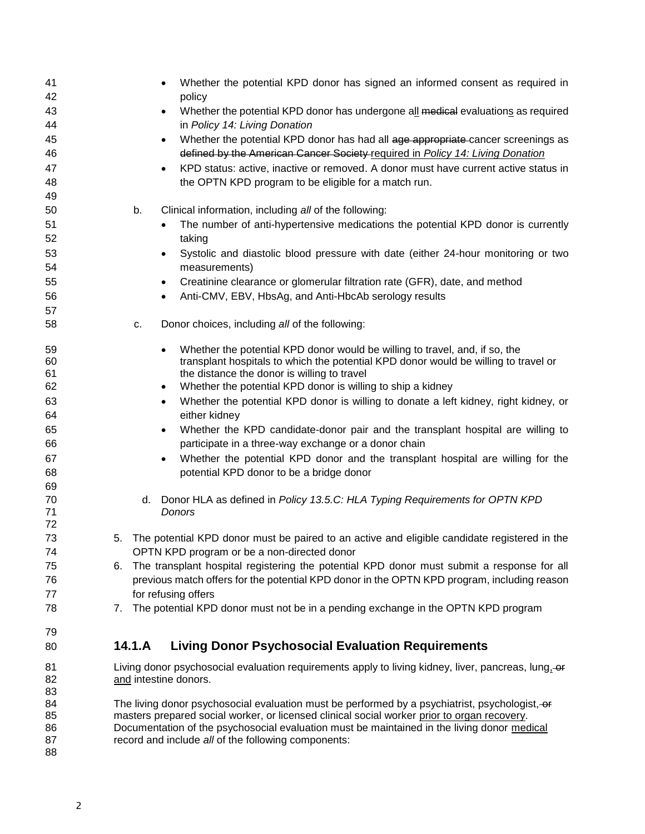| 41<br>42 | Whether the potential KPD donor has signed an informed consent as required in<br>policy                                                                                                       |  |  |
|----------|-----------------------------------------------------------------------------------------------------------------------------------------------------------------------------------------------|--|--|
| 43       | Whether the potential KPD donor has undergone all medical evaluations as required                                                                                                             |  |  |
| 44<br>45 | in Policy 14: Living Donation<br>Whether the potential KPD donor has had all age appropriate cancer screenings as<br>$\bullet$                                                                |  |  |
| 46       | defined by the American Cancer Society required in Policy 14: Living Donation                                                                                                                 |  |  |
| 47       | KPD status: active, inactive or removed. A donor must have current active status in                                                                                                           |  |  |
| 48       | the OPTN KPD program to be eligible for a match run.                                                                                                                                          |  |  |
| 49       |                                                                                                                                                                                               |  |  |
| 50       | Clinical information, including all of the following:<br>b.                                                                                                                                   |  |  |
| 51       | The number of anti-hypertensive medications the potential KPD donor is currently                                                                                                              |  |  |
| 52       | taking                                                                                                                                                                                        |  |  |
| 53       | Systolic and diastolic blood pressure with date (either 24-hour monitoring or two                                                                                                             |  |  |
| 54       | measurements)                                                                                                                                                                                 |  |  |
| 55       | Creatinine clearance or glomerular filtration rate (GFR), date, and method                                                                                                                    |  |  |
| 56       | Anti-CMV, EBV, HbsAg, and Anti-HbcAb serology results                                                                                                                                         |  |  |
| 57       |                                                                                                                                                                                               |  |  |
| 58       | Donor choices, including all of the following:<br>C.                                                                                                                                          |  |  |
| 59       | Whether the potential KPD donor would be willing to travel, and, if so, the                                                                                                                   |  |  |
| 60       | transplant hospitals to which the potential KPD donor would be willing to travel or                                                                                                           |  |  |
| 61       | the distance the donor is willing to travel                                                                                                                                                   |  |  |
| 62       | Whether the potential KPD donor is willing to ship a kidney                                                                                                                                   |  |  |
| 63       | Whether the potential KPD donor is willing to donate a left kidney, right kidney, or<br>$\bullet$                                                                                             |  |  |
| 64       | either kidney                                                                                                                                                                                 |  |  |
| 65       | Whether the KPD candidate-donor pair and the transplant hospital are willing to<br>$\bullet$                                                                                                  |  |  |
| 66       | participate in a three-way exchange or a donor chain                                                                                                                                          |  |  |
| 67       | Whether the potential KPD donor and the transplant hospital are willing for the                                                                                                               |  |  |
| 68       | potential KPD donor to be a bridge donor                                                                                                                                                      |  |  |
| 69       |                                                                                                                                                                                               |  |  |
| 70       | Donor HLA as defined in Policy 13.5.C: HLA Typing Requirements for OPTN KPD<br>d.                                                                                                             |  |  |
| 71<br>72 | Donors                                                                                                                                                                                        |  |  |
| 73       | The potential KPD donor must be paired to an active and eligible candidate registered in the<br>5.                                                                                            |  |  |
| 74       | OPTN KPD program or be a non-directed donor                                                                                                                                                   |  |  |
| 75       | The transplant hospital registering the potential KPD donor must submit a response for all<br>6.                                                                                              |  |  |
| 76       | previous match offers for the potential KPD donor in the OPTN KPD program, including reason                                                                                                   |  |  |
| 77       | for refusing offers                                                                                                                                                                           |  |  |
| 78       | The potential KPD donor must not be in a pending exchange in the OPTN KPD program<br>7.                                                                                                       |  |  |
| 79       |                                                                                                                                                                                               |  |  |
| 80       | 14.1.A<br><b>Living Donor Psychosocial Evaluation Requirements</b>                                                                                                                            |  |  |
|          |                                                                                                                                                                                               |  |  |
| 81<br>82 | Living donor psychosocial evaluation requirements apply to living kidney, liver, pancreas, lung, $-$ or<br>and intestine donors.                                                              |  |  |
| 83       |                                                                                                                                                                                               |  |  |
| 84<br>85 | The living donor psychosocial evaluation must be performed by a psychiatrist, psychologist, or<br>masters prepared social worker, or licensed clinical social worker prior to organ recovery. |  |  |
| 86       | Documentation of the psychosocial evaluation must be maintained in the living donor medical                                                                                                   |  |  |
| 87       | record and include all of the following components:                                                                                                                                           |  |  |
| 88       |                                                                                                                                                                                               |  |  |
|          |                                                                                                                                                                                               |  |  |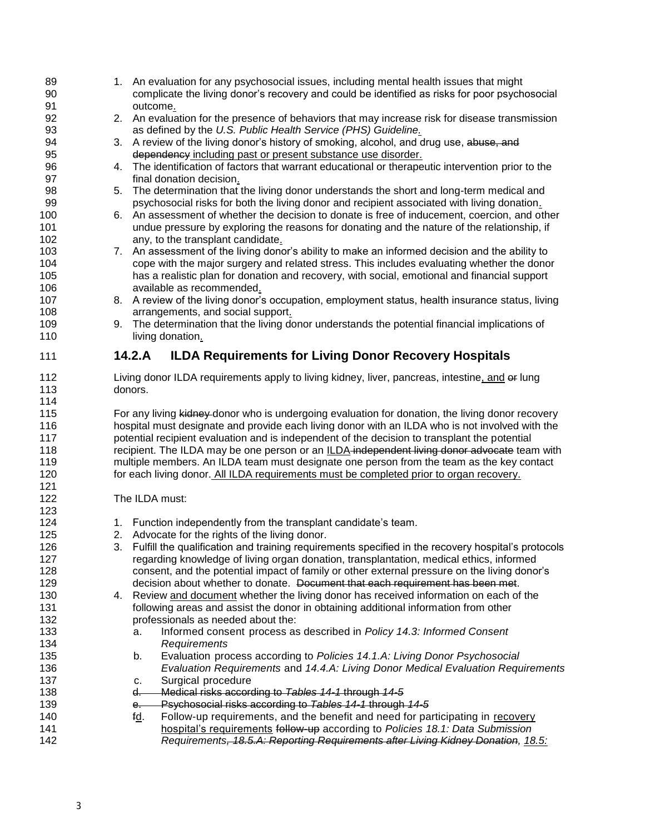| 89<br>90<br>91 | 1. An evaluation for any psychosocial issues, including mental health issues that might<br>complicate the living donor's recovery and could be identified as risks for poor psychosocial<br>outcome. |  |  |
|----------------|------------------------------------------------------------------------------------------------------------------------------------------------------------------------------------------------------|--|--|
| 92             | 2. An evaluation for the presence of behaviors that may increase risk for disease transmission                                                                                                       |  |  |
| 93             | as defined by the U.S. Public Health Service (PHS) Guideline.                                                                                                                                        |  |  |
| 94             | 3. A review of the living donor's history of smoking, alcohol, and drug use, abuse, and                                                                                                              |  |  |
| 95             | dependency including past or present substance use disorder.                                                                                                                                         |  |  |
| 96             | 4. The identification of factors that warrant educational or therapeutic intervention prior to the                                                                                                   |  |  |
| 97             | final donation decision.                                                                                                                                                                             |  |  |
| 98             | The determination that the living donor understands the short and long-term medical and<br>5.                                                                                                        |  |  |
| 99             | psychosocial risks for both the living donor and recipient associated with living donation.                                                                                                          |  |  |
| 100            | 6. An assessment of whether the decision to donate is free of inducement, coercion, and other                                                                                                        |  |  |
| 101            | undue pressure by exploring the reasons for donating and the nature of the relationship, if                                                                                                          |  |  |
| 102            | any, to the transplant candidate.                                                                                                                                                                    |  |  |
| 103            | 7. An assessment of the living donor's ability to make an informed decision and the ability to                                                                                                       |  |  |
| 104            | cope with the major surgery and related stress. This includes evaluating whether the donor                                                                                                           |  |  |
| 105            | has a realistic plan for donation and recovery, with social, emotional and financial support                                                                                                         |  |  |
| 106            | available as recommended.                                                                                                                                                                            |  |  |
| 107            | 8. A review of the living donor's occupation, employment status, health insurance status, living                                                                                                     |  |  |
| 108            | arrangements, and social support.                                                                                                                                                                    |  |  |
| 109            | The determination that the living donor understands the potential financial implications of<br>9.                                                                                                    |  |  |
| 110            | living donation.                                                                                                                                                                                     |  |  |
| 111            | <b>ILDA Requirements for Living Donor Recovery Hospitals</b><br>14.2.A                                                                                                                               |  |  |
| 112            | Living donor ILDA requirements apply to living kidney, liver, pancreas, intestine, and er lung                                                                                                       |  |  |
| 113            |                                                                                                                                                                                                      |  |  |
|                | donors.                                                                                                                                                                                              |  |  |
| 114            |                                                                                                                                                                                                      |  |  |
| 115            | For any living kidney donor who is undergoing evaluation for donation, the living donor recovery                                                                                                     |  |  |
| 116            | hospital must designate and provide each living donor with an ILDA who is not involved with the                                                                                                      |  |  |
| 117            | potential recipient evaluation and is independent of the decision to transplant the potential                                                                                                        |  |  |
| 118            | recipient. The ILDA may be one person or an ILDA-independent living donor advocate team with                                                                                                         |  |  |
| 119            | multiple members. An ILDA team must designate one person from the team as the key contact                                                                                                            |  |  |
| 120            | for each living donor. All ILDA requirements must be completed prior to organ recovery.                                                                                                              |  |  |
| 121            |                                                                                                                                                                                                      |  |  |
| 122            | The ILDA must:                                                                                                                                                                                       |  |  |
| 123            |                                                                                                                                                                                                      |  |  |
| 124            | 1. Function independently from the transplant candidate's team.                                                                                                                                      |  |  |
| 125            | 2. Advocate for the rights of the living donor.                                                                                                                                                      |  |  |
| 126            | 3. Fulfill the qualification and training requirements specified in the recovery hospital's protocols                                                                                                |  |  |
| 127            | regarding knowledge of living organ donation, transplantation, medical ethics, informed                                                                                                              |  |  |
| 128            | consent, and the potential impact of family or other external pressure on the living donor's                                                                                                         |  |  |
| 129            | decision about whether to donate. Document that each requirement has been met.                                                                                                                       |  |  |
| 130            | 4. Review and document whether the living donor has received information on each of the                                                                                                              |  |  |
| 131            | following areas and assist the donor in obtaining additional information from other                                                                                                                  |  |  |
| 132            | professionals as needed about the:                                                                                                                                                                   |  |  |
| 133            | Informed consent process as described in Policy 14.3: Informed Consent<br>а.                                                                                                                         |  |  |
| 134            | Requirements                                                                                                                                                                                         |  |  |
| 135            | Evaluation process according to Policies 14.1.A: Living Donor Psychosocial<br>b.                                                                                                                     |  |  |
| 136            | Evaluation Requirements and 14.4.A: Living Donor Medical Evaluation Requirements                                                                                                                     |  |  |
| 137            | Surgical procedure<br>c.                                                                                                                                                                             |  |  |
| 138            | Medical risks according to Tables 14-1 through 14-5<br>d.                                                                                                                                            |  |  |
| 139            | Psychosocial risks according to Tables 14-1 through 14-5<br>$e-$                                                                                                                                     |  |  |
| 140            | Follow-up requirements, and the benefit and need for participating in recovery<br>f <u>d</u> .                                                                                                       |  |  |
| 141            | hospital's requirements follow-up according to Policies 18.1: Data Submission                                                                                                                        |  |  |
| 142            | Requirements, 18.5.A: Reporting Requirements after Living Kidney Donation, 18.5:                                                                                                                     |  |  |
|                |                                                                                                                                                                                                      |  |  |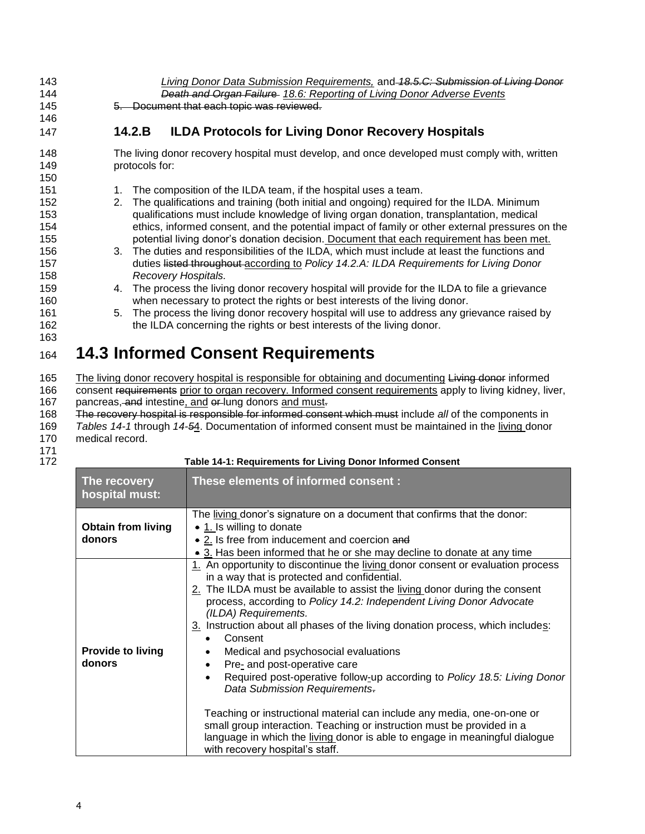| 143 | Living Donor Data Submission Requirements, and -18.5.C: Submission of Living Donor            |  |
|-----|-----------------------------------------------------------------------------------------------|--|
| 144 | <b>Death and Organ Failure</b> 18.6: Reporting of Living Donor Adverse Events                 |  |
| 145 | 5. Document that each topic was reviewed.                                                     |  |
| 146 |                                                                                               |  |
| 147 | <b>ILDA Protocols for Living Donor Recovery Hospitals</b><br>14.2.B                           |  |
| 148 | The living donor recovery hospital must develop, and once developed must comply with, written |  |
| 149 | protocols for:                                                                                |  |
| 150 |                                                                                               |  |
| 151 | The composition of the ILDA team, if the hospital uses a team.                                |  |

- 152 2. The qualifications and training (both initial and ongoing) required for the ILDA. Minimum 153 qualifications must include knowledge of living organ donation, transplantation, medical 154 ethics, informed consent, and the potential impact of family or other external pressures on the
- 155 potential living donor's donation decision. Document that each requirement has been met. 156 3. The duties and responsibilities of the ILDA, which must include at least the functions and 157 duties listed throughout according to *Policy 14.2.A: ILDA Requirements for Living Donor*  158 *Recovery Hospitals.*
- 159 4. The process the living donor recovery hospital will provide for the ILDA to file a grievance 160 when necessary to protect the rights or best interests of the living donor.
- 161 5. The process the living donor recovery hospital will use to address any grievance raised by 162 the ILDA concerning the rights or best interests of the living donor.

### <sup>164</sup> **14.3 Informed Consent Requirements**

165 The living donor recovery hospital is responsible for obtaining and documenting Living donor informed 166 consent requirements prior to organ recovery. Informed consent requirements apply to living kidney, liver, 167 pancreas, and intestine, and or lung donors and must.

- 168 The recovery hospital is responsible for informed consent which must include *all* of the components in
- 169 *Tables 14-1* through *14-5*4. Documentation of informed consent must be maintained in the living donor
- 170 medical record.
- 171

163

172 **Table 14-1: Requirements for Living Donor Informed Consent The recovery hospital must: These elements of informed consent : Obtain from living donors** The living donor's signature on a document that confirms that the donor: • 1. Is willing to donate • 2. Is free from inducement and coercion and • 3. Has been informed that he or she may decline to donate at any time **Provide to living donors** 1. An opportunity to discontinue the living donor consent or evaluation process in a way that is protected and confidential. 2. The ILDA must be available to assist the living donor during the consent process, according to *Policy 14.2: Independent Living Donor Advocate (ILDA) Requirements.* 3. Instruction about all phases of the living donation process, which includes: Consent Medical and psychosocial evaluations Pre- and post-operative care Required post-operative follow-up according to *Policy 18.5: Living Donor Data Submission Requirements*. Teaching or instructional material can include any media, one-on-one or small group interaction. Teaching or instruction must be provided in a language in which the living donor is able to engage in meaningful dialogue with recovery hospital's staff.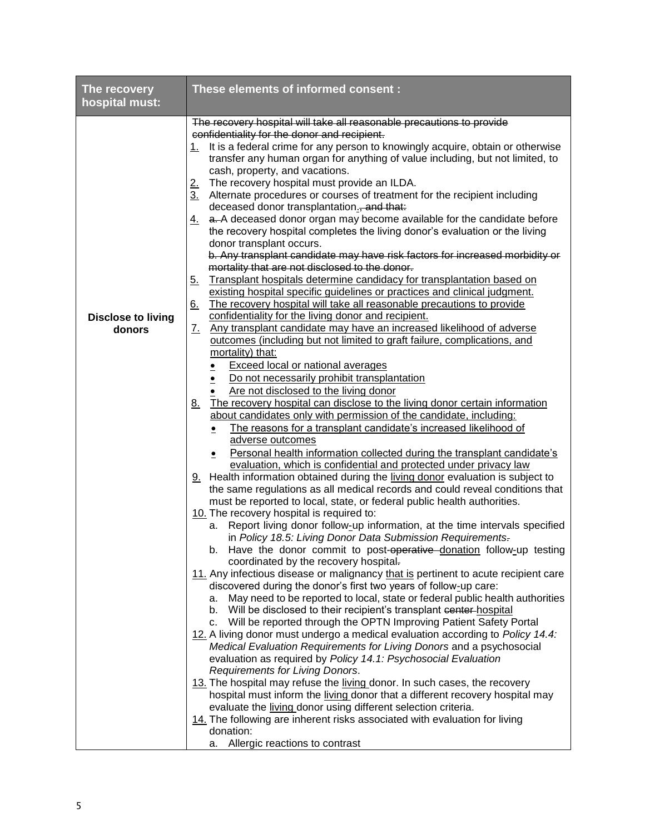| The recovery                                          | These elements of informed consent:                                                                                                                                                                                                                                                                                                                                                                                                                                                                                                                                                                                                                                                                                                                                                                                                                                                                                                                                                                                                                                                                                                                                                                                                                                                                                                                                                                                                                                                                                                                                                                                                                                                                                                                                                                                                                                                                                                                                                                                                                                                                                                                                                                                                                                                                                                                                                                                                                                                                                                                                                                                                                                                                                                                                                                                                                                                                                                                                     |  |  |
|-------------------------------------------------------|-------------------------------------------------------------------------------------------------------------------------------------------------------------------------------------------------------------------------------------------------------------------------------------------------------------------------------------------------------------------------------------------------------------------------------------------------------------------------------------------------------------------------------------------------------------------------------------------------------------------------------------------------------------------------------------------------------------------------------------------------------------------------------------------------------------------------------------------------------------------------------------------------------------------------------------------------------------------------------------------------------------------------------------------------------------------------------------------------------------------------------------------------------------------------------------------------------------------------------------------------------------------------------------------------------------------------------------------------------------------------------------------------------------------------------------------------------------------------------------------------------------------------------------------------------------------------------------------------------------------------------------------------------------------------------------------------------------------------------------------------------------------------------------------------------------------------------------------------------------------------------------------------------------------------------------------------------------------------------------------------------------------------------------------------------------------------------------------------------------------------------------------------------------------------------------------------------------------------------------------------------------------------------------------------------------------------------------------------------------------------------------------------------------------------------------------------------------------------------------------------------------------------------------------------------------------------------------------------------------------------------------------------------------------------------------------------------------------------------------------------------------------------------------------------------------------------------------------------------------------------------------------------------------------------------------------------------------------------|--|--|
|                                                       |                                                                                                                                                                                                                                                                                                                                                                                                                                                                                                                                                                                                                                                                                                                                                                                                                                                                                                                                                                                                                                                                                                                                                                                                                                                                                                                                                                                                                                                                                                                                                                                                                                                                                                                                                                                                                                                                                                                                                                                                                                                                                                                                                                                                                                                                                                                                                                                                                                                                                                                                                                                                                                                                                                                                                                                                                                                                                                                                                                         |  |  |
| hospital must:<br><b>Disclose to living</b><br>donors | The recovery hospital will take all reasonable precautions to provide<br>confidentiality for the donor and recipient.<br>It is a federal crime for any person to knowingly acquire, obtain or otherwise<br>1.<br>transfer any human organ for anything of value including, but not limited, to<br>cash, property, and vacations.<br>The recovery hospital must provide an ILDA.<br><u>2.</u><br>Alternate procedures or courses of treatment for the recipient including<br>3.<br>deceased donor transplantation., and that:<br>a. A deceased donor organ may become available for the candidate before<br><u>4.</u><br>the recovery hospital completes the living donor's evaluation or the living<br>donor transplant occurs.<br>b. Any transplant candidate may have risk factors for increased morbidity or<br>mortality that are not disclosed to the donor.<br>Transplant hospitals determine candidacy for transplantation based on<br><u>5.</u><br>existing hospital specific guidelines or practices and clinical judgment.<br>The recovery hospital will take all reasonable precautions to provide<br><u>6.</u><br>confidentiality for the living donor and recipient.<br>Any transplant candidate may have an increased likelihood of adverse<br><u>Z.</u><br>outcomes (including but not limited to graft failure, complications, and<br>mortality) that:<br>Exceed local or national averages<br>Do not necessarily prohibit transplantation<br>Are not disclosed to the living donor<br>8. The recovery hospital can disclose to the living donor certain information<br>about candidates only with permission of the candidate, including:<br>The reasons for a transplant candidate's increased likelihood of<br>$\bullet$<br>adverse outcomes<br>Personal health information collected during the transplant candidate's<br>$\bullet$<br>evaluation, which is confidential and protected under privacy law<br>9. Health information obtained during the living donor evaluation is subject to<br>the same regulations as all medical records and could reveal conditions that<br>must be reported to local, state, or federal public health authorities.<br>10. The recovery hospital is required to:<br>a. Report living donor follow-up information, at the time intervals specified<br>in Policy 18.5: Living Donor Data Submission Requirements.<br>b. Have the donor commit to post-operative donation follow-up testing<br>coordinated by the recovery hospital.<br>11. Any infectious disease or malignancy that is pertinent to acute recipient care<br>discovered during the donor's first two years of follow-up care:<br>a. May need to be reported to local, state or federal public health authorities<br>b. Will be disclosed to their recipient's transplant center-hospital<br>c. Will be reported through the OPTN Improving Patient Safety Portal<br>12. A living donor must undergo a medical evaluation according to Policy 14.4: |  |  |
|                                                       |                                                                                                                                                                                                                                                                                                                                                                                                                                                                                                                                                                                                                                                                                                                                                                                                                                                                                                                                                                                                                                                                                                                                                                                                                                                                                                                                                                                                                                                                                                                                                                                                                                                                                                                                                                                                                                                                                                                                                                                                                                                                                                                                                                                                                                                                                                                                                                                                                                                                                                                                                                                                                                                                                                                                                                                                                                                                                                                                                                         |  |  |
|                                                       |                                                                                                                                                                                                                                                                                                                                                                                                                                                                                                                                                                                                                                                                                                                                                                                                                                                                                                                                                                                                                                                                                                                                                                                                                                                                                                                                                                                                                                                                                                                                                                                                                                                                                                                                                                                                                                                                                                                                                                                                                                                                                                                                                                                                                                                                                                                                                                                                                                                                                                                                                                                                                                                                                                                                                                                                                                                                                                                                                                         |  |  |
|                                                       |                                                                                                                                                                                                                                                                                                                                                                                                                                                                                                                                                                                                                                                                                                                                                                                                                                                                                                                                                                                                                                                                                                                                                                                                                                                                                                                                                                                                                                                                                                                                                                                                                                                                                                                                                                                                                                                                                                                                                                                                                                                                                                                                                                                                                                                                                                                                                                                                                                                                                                                                                                                                                                                                                                                                                                                                                                                                                                                                                                         |  |  |
|                                                       |                                                                                                                                                                                                                                                                                                                                                                                                                                                                                                                                                                                                                                                                                                                                                                                                                                                                                                                                                                                                                                                                                                                                                                                                                                                                                                                                                                                                                                                                                                                                                                                                                                                                                                                                                                                                                                                                                                                                                                                                                                                                                                                                                                                                                                                                                                                                                                                                                                                                                                                                                                                                                                                                                                                                                                                                                                                                                                                                                                         |  |  |
|                                                       |                                                                                                                                                                                                                                                                                                                                                                                                                                                                                                                                                                                                                                                                                                                                                                                                                                                                                                                                                                                                                                                                                                                                                                                                                                                                                                                                                                                                                                                                                                                                                                                                                                                                                                                                                                                                                                                                                                                                                                                                                                                                                                                                                                                                                                                                                                                                                                                                                                                                                                                                                                                                                                                                                                                                                                                                                                                                                                                                                                         |  |  |
|                                                       |                                                                                                                                                                                                                                                                                                                                                                                                                                                                                                                                                                                                                                                                                                                                                                                                                                                                                                                                                                                                                                                                                                                                                                                                                                                                                                                                                                                                                                                                                                                                                                                                                                                                                                                                                                                                                                                                                                                                                                                                                                                                                                                                                                                                                                                                                                                                                                                                                                                                                                                                                                                                                                                                                                                                                                                                                                                                                                                                                                         |  |  |
|                                                       |                                                                                                                                                                                                                                                                                                                                                                                                                                                                                                                                                                                                                                                                                                                                                                                                                                                                                                                                                                                                                                                                                                                                                                                                                                                                                                                                                                                                                                                                                                                                                                                                                                                                                                                                                                                                                                                                                                                                                                                                                                                                                                                                                                                                                                                                                                                                                                                                                                                                                                                                                                                                                                                                                                                                                                                                                                                                                                                                                                         |  |  |
|                                                       |                                                                                                                                                                                                                                                                                                                                                                                                                                                                                                                                                                                                                                                                                                                                                                                                                                                                                                                                                                                                                                                                                                                                                                                                                                                                                                                                                                                                                                                                                                                                                                                                                                                                                                                                                                                                                                                                                                                                                                                                                                                                                                                                                                                                                                                                                                                                                                                                                                                                                                                                                                                                                                                                                                                                                                                                                                                                                                                                                                         |  |  |
|                                                       |                                                                                                                                                                                                                                                                                                                                                                                                                                                                                                                                                                                                                                                                                                                                                                                                                                                                                                                                                                                                                                                                                                                                                                                                                                                                                                                                                                                                                                                                                                                                                                                                                                                                                                                                                                                                                                                                                                                                                                                                                                                                                                                                                                                                                                                                                                                                                                                                                                                                                                                                                                                                                                                                                                                                                                                                                                                                                                                                                                         |  |  |
|                                                       |                                                                                                                                                                                                                                                                                                                                                                                                                                                                                                                                                                                                                                                                                                                                                                                                                                                                                                                                                                                                                                                                                                                                                                                                                                                                                                                                                                                                                                                                                                                                                                                                                                                                                                                                                                                                                                                                                                                                                                                                                                                                                                                                                                                                                                                                                                                                                                                                                                                                                                                                                                                                                                                                                                                                                                                                                                                                                                                                                                         |  |  |
|                                                       |                                                                                                                                                                                                                                                                                                                                                                                                                                                                                                                                                                                                                                                                                                                                                                                                                                                                                                                                                                                                                                                                                                                                                                                                                                                                                                                                                                                                                                                                                                                                                                                                                                                                                                                                                                                                                                                                                                                                                                                                                                                                                                                                                                                                                                                                                                                                                                                                                                                                                                                                                                                                                                                                                                                                                                                                                                                                                                                                                                         |  |  |
|                                                       |                                                                                                                                                                                                                                                                                                                                                                                                                                                                                                                                                                                                                                                                                                                                                                                                                                                                                                                                                                                                                                                                                                                                                                                                                                                                                                                                                                                                                                                                                                                                                                                                                                                                                                                                                                                                                                                                                                                                                                                                                                                                                                                                                                                                                                                                                                                                                                                                                                                                                                                                                                                                                                                                                                                                                                                                                                                                                                                                                                         |  |  |
|                                                       |                                                                                                                                                                                                                                                                                                                                                                                                                                                                                                                                                                                                                                                                                                                                                                                                                                                                                                                                                                                                                                                                                                                                                                                                                                                                                                                                                                                                                                                                                                                                                                                                                                                                                                                                                                                                                                                                                                                                                                                                                                                                                                                                                                                                                                                                                                                                                                                                                                                                                                                                                                                                                                                                                                                                                                                                                                                                                                                                                                         |  |  |
|                                                       |                                                                                                                                                                                                                                                                                                                                                                                                                                                                                                                                                                                                                                                                                                                                                                                                                                                                                                                                                                                                                                                                                                                                                                                                                                                                                                                                                                                                                                                                                                                                                                                                                                                                                                                                                                                                                                                                                                                                                                                                                                                                                                                                                                                                                                                                                                                                                                                                                                                                                                                                                                                                                                                                                                                                                                                                                                                                                                                                                                         |  |  |
|                                                       |                                                                                                                                                                                                                                                                                                                                                                                                                                                                                                                                                                                                                                                                                                                                                                                                                                                                                                                                                                                                                                                                                                                                                                                                                                                                                                                                                                                                                                                                                                                                                                                                                                                                                                                                                                                                                                                                                                                                                                                                                                                                                                                                                                                                                                                                                                                                                                                                                                                                                                                                                                                                                                                                                                                                                                                                                                                                                                                                                                         |  |  |
|                                                       |                                                                                                                                                                                                                                                                                                                                                                                                                                                                                                                                                                                                                                                                                                                                                                                                                                                                                                                                                                                                                                                                                                                                                                                                                                                                                                                                                                                                                                                                                                                                                                                                                                                                                                                                                                                                                                                                                                                                                                                                                                                                                                                                                                                                                                                                                                                                                                                                                                                                                                                                                                                                                                                                                                                                                                                                                                                                                                                                                                         |  |  |
|                                                       |                                                                                                                                                                                                                                                                                                                                                                                                                                                                                                                                                                                                                                                                                                                                                                                                                                                                                                                                                                                                                                                                                                                                                                                                                                                                                                                                                                                                                                                                                                                                                                                                                                                                                                                                                                                                                                                                                                                                                                                                                                                                                                                                                                                                                                                                                                                                                                                                                                                                                                                                                                                                                                                                                                                                                                                                                                                                                                                                                                         |  |  |
|                                                       |                                                                                                                                                                                                                                                                                                                                                                                                                                                                                                                                                                                                                                                                                                                                                                                                                                                                                                                                                                                                                                                                                                                                                                                                                                                                                                                                                                                                                                                                                                                                                                                                                                                                                                                                                                                                                                                                                                                                                                                                                                                                                                                                                                                                                                                                                                                                                                                                                                                                                                                                                                                                                                                                                                                                                                                                                                                                                                                                                                         |  |  |
|                                                       |                                                                                                                                                                                                                                                                                                                                                                                                                                                                                                                                                                                                                                                                                                                                                                                                                                                                                                                                                                                                                                                                                                                                                                                                                                                                                                                                                                                                                                                                                                                                                                                                                                                                                                                                                                                                                                                                                                                                                                                                                                                                                                                                                                                                                                                                                                                                                                                                                                                                                                                                                                                                                                                                                                                                                                                                                                                                                                                                                                         |  |  |
|                                                       |                                                                                                                                                                                                                                                                                                                                                                                                                                                                                                                                                                                                                                                                                                                                                                                                                                                                                                                                                                                                                                                                                                                                                                                                                                                                                                                                                                                                                                                                                                                                                                                                                                                                                                                                                                                                                                                                                                                                                                                                                                                                                                                                                                                                                                                                                                                                                                                                                                                                                                                                                                                                                                                                                                                                                                                                                                                                                                                                                                         |  |  |
|                                                       |                                                                                                                                                                                                                                                                                                                                                                                                                                                                                                                                                                                                                                                                                                                                                                                                                                                                                                                                                                                                                                                                                                                                                                                                                                                                                                                                                                                                                                                                                                                                                                                                                                                                                                                                                                                                                                                                                                                                                                                                                                                                                                                                                                                                                                                                                                                                                                                                                                                                                                                                                                                                                                                                                                                                                                                                                                                                                                                                                                         |  |  |
|                                                       |                                                                                                                                                                                                                                                                                                                                                                                                                                                                                                                                                                                                                                                                                                                                                                                                                                                                                                                                                                                                                                                                                                                                                                                                                                                                                                                                                                                                                                                                                                                                                                                                                                                                                                                                                                                                                                                                                                                                                                                                                                                                                                                                                                                                                                                                                                                                                                                                                                                                                                                                                                                                                                                                                                                                                                                                                                                                                                                                                                         |  |  |
|                                                       |                                                                                                                                                                                                                                                                                                                                                                                                                                                                                                                                                                                                                                                                                                                                                                                                                                                                                                                                                                                                                                                                                                                                                                                                                                                                                                                                                                                                                                                                                                                                                                                                                                                                                                                                                                                                                                                                                                                                                                                                                                                                                                                                                                                                                                                                                                                                                                                                                                                                                                                                                                                                                                                                                                                                                                                                                                                                                                                                                                         |  |  |
|                                                       |                                                                                                                                                                                                                                                                                                                                                                                                                                                                                                                                                                                                                                                                                                                                                                                                                                                                                                                                                                                                                                                                                                                                                                                                                                                                                                                                                                                                                                                                                                                                                                                                                                                                                                                                                                                                                                                                                                                                                                                                                                                                                                                                                                                                                                                                                                                                                                                                                                                                                                                                                                                                                                                                                                                                                                                                                                                                                                                                                                         |  |  |
|                                                       |                                                                                                                                                                                                                                                                                                                                                                                                                                                                                                                                                                                                                                                                                                                                                                                                                                                                                                                                                                                                                                                                                                                                                                                                                                                                                                                                                                                                                                                                                                                                                                                                                                                                                                                                                                                                                                                                                                                                                                                                                                                                                                                                                                                                                                                                                                                                                                                                                                                                                                                                                                                                                                                                                                                                                                                                                                                                                                                                                                         |  |  |
|                                                       |                                                                                                                                                                                                                                                                                                                                                                                                                                                                                                                                                                                                                                                                                                                                                                                                                                                                                                                                                                                                                                                                                                                                                                                                                                                                                                                                                                                                                                                                                                                                                                                                                                                                                                                                                                                                                                                                                                                                                                                                                                                                                                                                                                                                                                                                                                                                                                                                                                                                                                                                                                                                                                                                                                                                                                                                                                                                                                                                                                         |  |  |
|                                                       |                                                                                                                                                                                                                                                                                                                                                                                                                                                                                                                                                                                                                                                                                                                                                                                                                                                                                                                                                                                                                                                                                                                                                                                                                                                                                                                                                                                                                                                                                                                                                                                                                                                                                                                                                                                                                                                                                                                                                                                                                                                                                                                                                                                                                                                                                                                                                                                                                                                                                                                                                                                                                                                                                                                                                                                                                                                                                                                                                                         |  |  |
|                                                       |                                                                                                                                                                                                                                                                                                                                                                                                                                                                                                                                                                                                                                                                                                                                                                                                                                                                                                                                                                                                                                                                                                                                                                                                                                                                                                                                                                                                                                                                                                                                                                                                                                                                                                                                                                                                                                                                                                                                                                                                                                                                                                                                                                                                                                                                                                                                                                                                                                                                                                                                                                                                                                                                                                                                                                                                                                                                                                                                                                         |  |  |
|                                                       |                                                                                                                                                                                                                                                                                                                                                                                                                                                                                                                                                                                                                                                                                                                                                                                                                                                                                                                                                                                                                                                                                                                                                                                                                                                                                                                                                                                                                                                                                                                                                                                                                                                                                                                                                                                                                                                                                                                                                                                                                                                                                                                                                                                                                                                                                                                                                                                                                                                                                                                                                                                                                                                                                                                                                                                                                                                                                                                                                                         |  |  |
|                                                       |                                                                                                                                                                                                                                                                                                                                                                                                                                                                                                                                                                                                                                                                                                                                                                                                                                                                                                                                                                                                                                                                                                                                                                                                                                                                                                                                                                                                                                                                                                                                                                                                                                                                                                                                                                                                                                                                                                                                                                                                                                                                                                                                                                                                                                                                                                                                                                                                                                                                                                                                                                                                                                                                                                                                                                                                                                                                                                                                                                         |  |  |
|                                                       |                                                                                                                                                                                                                                                                                                                                                                                                                                                                                                                                                                                                                                                                                                                                                                                                                                                                                                                                                                                                                                                                                                                                                                                                                                                                                                                                                                                                                                                                                                                                                                                                                                                                                                                                                                                                                                                                                                                                                                                                                                                                                                                                                                                                                                                                                                                                                                                                                                                                                                                                                                                                                                                                                                                                                                                                                                                                                                                                                                         |  |  |
|                                                       |                                                                                                                                                                                                                                                                                                                                                                                                                                                                                                                                                                                                                                                                                                                                                                                                                                                                                                                                                                                                                                                                                                                                                                                                                                                                                                                                                                                                                                                                                                                                                                                                                                                                                                                                                                                                                                                                                                                                                                                                                                                                                                                                                                                                                                                                                                                                                                                                                                                                                                                                                                                                                                                                                                                                                                                                                                                                                                                                                                         |  |  |
|                                                       | Medical Evaluation Requirements for Living Donors and a psychosocial                                                                                                                                                                                                                                                                                                                                                                                                                                                                                                                                                                                                                                                                                                                                                                                                                                                                                                                                                                                                                                                                                                                                                                                                                                                                                                                                                                                                                                                                                                                                                                                                                                                                                                                                                                                                                                                                                                                                                                                                                                                                                                                                                                                                                                                                                                                                                                                                                                                                                                                                                                                                                                                                                                                                                                                                                                                                                                    |  |  |
|                                                       | evaluation as required by Policy 14.1: Psychosocial Evaluation                                                                                                                                                                                                                                                                                                                                                                                                                                                                                                                                                                                                                                                                                                                                                                                                                                                                                                                                                                                                                                                                                                                                                                                                                                                                                                                                                                                                                                                                                                                                                                                                                                                                                                                                                                                                                                                                                                                                                                                                                                                                                                                                                                                                                                                                                                                                                                                                                                                                                                                                                                                                                                                                                                                                                                                                                                                                                                          |  |  |
|                                                       |                                                                                                                                                                                                                                                                                                                                                                                                                                                                                                                                                                                                                                                                                                                                                                                                                                                                                                                                                                                                                                                                                                                                                                                                                                                                                                                                                                                                                                                                                                                                                                                                                                                                                                                                                                                                                                                                                                                                                                                                                                                                                                                                                                                                                                                                                                                                                                                                                                                                                                                                                                                                                                                                                                                                                                                                                                                                                                                                                                         |  |  |
|                                                       | Requirements for Living Donors.                                                                                                                                                                                                                                                                                                                                                                                                                                                                                                                                                                                                                                                                                                                                                                                                                                                                                                                                                                                                                                                                                                                                                                                                                                                                                                                                                                                                                                                                                                                                                                                                                                                                                                                                                                                                                                                                                                                                                                                                                                                                                                                                                                                                                                                                                                                                                                                                                                                                                                                                                                                                                                                                                                                                                                                                                                                                                                                                         |  |  |
|                                                       | 13. The hospital may refuse the living donor. In such cases, the recovery                                                                                                                                                                                                                                                                                                                                                                                                                                                                                                                                                                                                                                                                                                                                                                                                                                                                                                                                                                                                                                                                                                                                                                                                                                                                                                                                                                                                                                                                                                                                                                                                                                                                                                                                                                                                                                                                                                                                                                                                                                                                                                                                                                                                                                                                                                                                                                                                                                                                                                                                                                                                                                                                                                                                                                                                                                                                                               |  |  |
|                                                       | hospital must inform the living donor that a different recovery hospital may                                                                                                                                                                                                                                                                                                                                                                                                                                                                                                                                                                                                                                                                                                                                                                                                                                                                                                                                                                                                                                                                                                                                                                                                                                                                                                                                                                                                                                                                                                                                                                                                                                                                                                                                                                                                                                                                                                                                                                                                                                                                                                                                                                                                                                                                                                                                                                                                                                                                                                                                                                                                                                                                                                                                                                                                                                                                                            |  |  |
|                                                       | evaluate the living donor using different selection criteria.                                                                                                                                                                                                                                                                                                                                                                                                                                                                                                                                                                                                                                                                                                                                                                                                                                                                                                                                                                                                                                                                                                                                                                                                                                                                                                                                                                                                                                                                                                                                                                                                                                                                                                                                                                                                                                                                                                                                                                                                                                                                                                                                                                                                                                                                                                                                                                                                                                                                                                                                                                                                                                                                                                                                                                                                                                                                                                           |  |  |
|                                                       | 14. The following are inherent risks associated with evaluation for living                                                                                                                                                                                                                                                                                                                                                                                                                                                                                                                                                                                                                                                                                                                                                                                                                                                                                                                                                                                                                                                                                                                                                                                                                                                                                                                                                                                                                                                                                                                                                                                                                                                                                                                                                                                                                                                                                                                                                                                                                                                                                                                                                                                                                                                                                                                                                                                                                                                                                                                                                                                                                                                                                                                                                                                                                                                                                              |  |  |
|                                                       | donation:                                                                                                                                                                                                                                                                                                                                                                                                                                                                                                                                                                                                                                                                                                                                                                                                                                                                                                                                                                                                                                                                                                                                                                                                                                                                                                                                                                                                                                                                                                                                                                                                                                                                                                                                                                                                                                                                                                                                                                                                                                                                                                                                                                                                                                                                                                                                                                                                                                                                                                                                                                                                                                                                                                                                                                                                                                                                                                                                                               |  |  |
|                                                       | Allergic reactions to contrast<br>а.                                                                                                                                                                                                                                                                                                                                                                                                                                                                                                                                                                                                                                                                                                                                                                                                                                                                                                                                                                                                                                                                                                                                                                                                                                                                                                                                                                                                                                                                                                                                                                                                                                                                                                                                                                                                                                                                                                                                                                                                                                                                                                                                                                                                                                                                                                                                                                                                                                                                                                                                                                                                                                                                                                                                                                                                                                                                                                                                    |  |  |
|                                                       |                                                                                                                                                                                                                                                                                                                                                                                                                                                                                                                                                                                                                                                                                                                                                                                                                                                                                                                                                                                                                                                                                                                                                                                                                                                                                                                                                                                                                                                                                                                                                                                                                                                                                                                                                                                                                                                                                                                                                                                                                                                                                                                                                                                                                                                                                                                                                                                                                                                                                                                                                                                                                                                                                                                                                                                                                                                                                                                                                                         |  |  |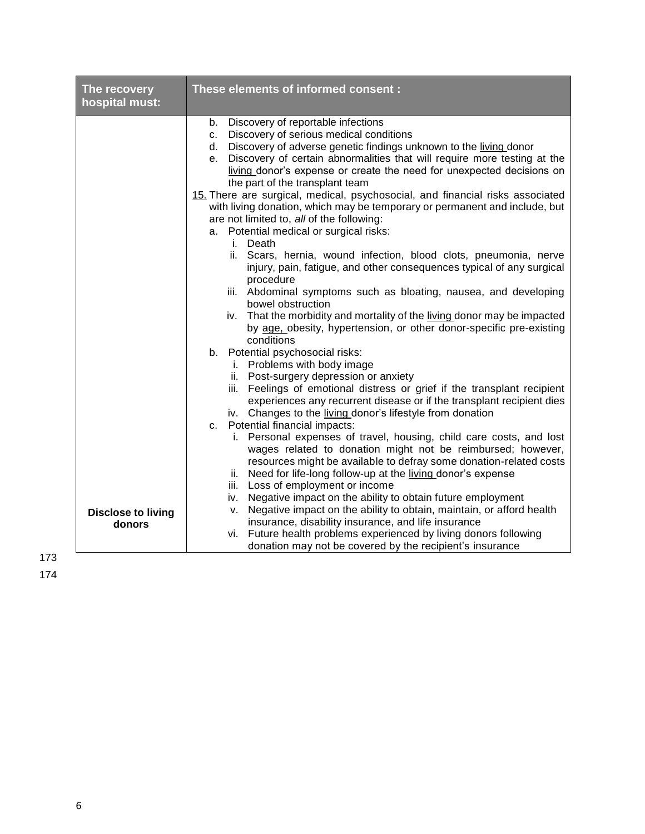| The recovery<br>hospital must: | These elements of informed consent :                                                                                                                                                                                                                                                                                                                                                                                                                                                                                                                                                                                         |  |  |
|--------------------------------|------------------------------------------------------------------------------------------------------------------------------------------------------------------------------------------------------------------------------------------------------------------------------------------------------------------------------------------------------------------------------------------------------------------------------------------------------------------------------------------------------------------------------------------------------------------------------------------------------------------------------|--|--|
|                                | b. Discovery of reportable infections<br>c. Discovery of serious medical conditions<br>d. Discovery of adverse genetic findings unknown to the living donor<br>Discovery of certain abnormalities that will require more testing at the<br>e.<br>living donor's expense or create the need for unexpected decisions on<br>the part of the transplant team<br>15. There are surgical, medical, psychosocial, and financial risks associated<br>with living donation, which may be temporary or permanent and include, but<br>are not limited to, all of the following:<br>a. Potential medical or surgical risks:<br>i. Death |  |  |
|                                | ii. Scars, hernia, wound infection, blood clots, pneumonia, nerve<br>injury, pain, fatigue, and other consequences typical of any surgical<br>procedure<br>iii. Abdominal symptoms such as bloating, nausea, and developing<br>bowel obstruction<br>iv. That the morbidity and mortality of the living donor may be impacted<br>by age, obesity, hypertension, or other donor-specific pre-existing<br>conditions                                                                                                                                                                                                            |  |  |
|                                | b. Potential psychosocial risks:<br>i. Problems with body image<br>ii. Post-surgery depression or anxiety<br>iii. Feelings of emotional distress or grief if the transplant recipient<br>experiences any recurrent disease or if the transplant recipient dies<br>iv. Changes to the living donor's lifestyle from donation<br>c. Potential financial impacts:                                                                                                                                                                                                                                                               |  |  |
| <b>Disclose to living</b>      | i. Personal expenses of travel, housing, child care costs, and lost<br>wages related to donation might not be reimbursed; however,<br>resources might be available to defray some donation-related costs<br>ii. Need for life-long follow-up at the living donor's expense<br>iii. Loss of employment or income<br>iv. Negative impact on the ability to obtain future employment<br>v. Negative impact on the ability to obtain, maintain, or afford health                                                                                                                                                                 |  |  |
| donors                         | insurance, disability insurance, and life insurance<br>vi. Future health problems experienced by living donors following<br>donation may not be covered by the recipient's insurance                                                                                                                                                                                                                                                                                                                                                                                                                                         |  |  |

173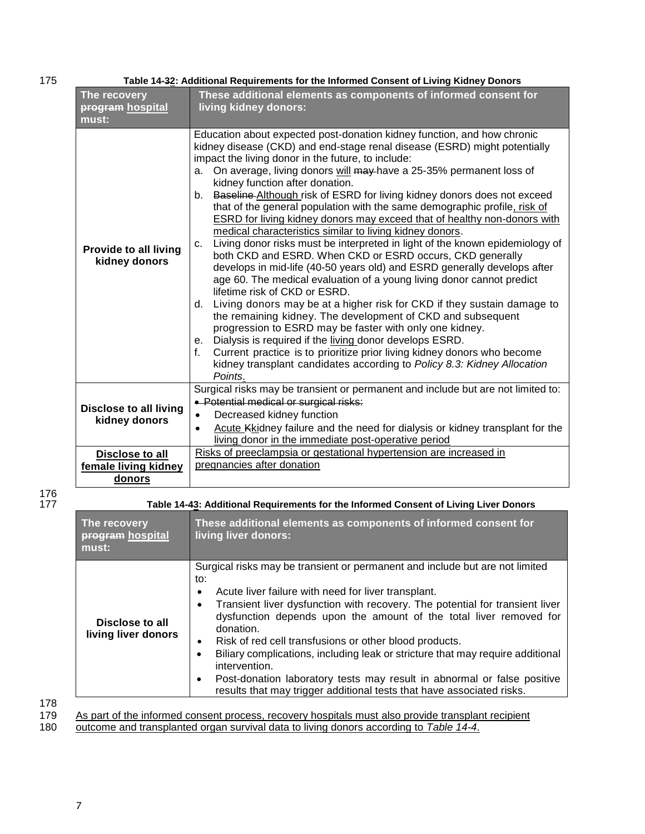| 175 | Table 14-32: Additional Requirements for the Informed Consent of Living Kidney Donors |                                                                                                                                                                                                                                                                                                                                                                                                                                                                                                                                                                                                                                                                                                                                                                                                                                                                                                                                                                                                                                                                                                                                                                                                                                                                                                                                                                                                                                |  |  |
|-----|---------------------------------------------------------------------------------------|--------------------------------------------------------------------------------------------------------------------------------------------------------------------------------------------------------------------------------------------------------------------------------------------------------------------------------------------------------------------------------------------------------------------------------------------------------------------------------------------------------------------------------------------------------------------------------------------------------------------------------------------------------------------------------------------------------------------------------------------------------------------------------------------------------------------------------------------------------------------------------------------------------------------------------------------------------------------------------------------------------------------------------------------------------------------------------------------------------------------------------------------------------------------------------------------------------------------------------------------------------------------------------------------------------------------------------------------------------------------------------------------------------------------------------|--|--|
|     | The recovery<br><b>program</b> hospital<br>must:                                      | These additional elements as components of informed consent for<br>living kidney donors:                                                                                                                                                                                                                                                                                                                                                                                                                                                                                                                                                                                                                                                                                                                                                                                                                                                                                                                                                                                                                                                                                                                                                                                                                                                                                                                                       |  |  |
|     | <b>Provide to all living</b><br>kidney donors                                         | Education about expected post-donation kidney function, and how chronic<br>kidney disease (CKD) and end-stage renal disease (ESRD) might potentially<br>impact the living donor in the future, to include:<br>a. On average, living donors will may have a 25-35% permanent loss of<br>kidney function after donation.<br>b. Baseline Although risk of ESRD for living kidney donors does not exceed<br>that of the general population with the same demographic profile, risk of<br><b>ESRD</b> for living kidney donors may exceed that of healthy non-donors with<br>medical characteristics similar to living kidney donors.<br>Living donor risks must be interpreted in light of the known epidemiology of<br>$C_{1}$<br>both CKD and ESRD. When CKD or ESRD occurs, CKD generally<br>develops in mid-life (40-50 years old) and ESRD generally develops after<br>age 60. The medical evaluation of a young living donor cannot predict<br>lifetime risk of CKD or ESRD.<br>Living donors may be at a higher risk for CKD if they sustain damage to<br>d.<br>the remaining kidney. The development of CKD and subsequent<br>progression to ESRD may be faster with only one kidney.<br>e. Dialysis is required if the living donor develops ESRD.<br>Current practice is to prioritize prior living kidney donors who become<br>f.<br>kidney transplant candidates according to Policy 8.3: Kidney Allocation<br>Points. |  |  |
|     | <b>Disclose to all living</b><br>kidney donors                                        | Surgical risks may be transient or permanent and include but are not limited to:<br>· Potential medical or surgical risks:<br>Decreased kidney function<br>$\bullet$<br>Acute Kkidney failure and the need for dialysis or kidney transplant for the<br>$\bullet$<br>living donor in the immediate post-operative period                                                                                                                                                                                                                                                                                                                                                                                                                                                                                                                                                                                                                                                                                                                                                                                                                                                                                                                                                                                                                                                                                                       |  |  |
|     | Disclose to all<br>female living kidney<br>donors                                     | Risks of preeclampsia or gestational hypertension are increased in<br>pregnancies after donation                                                                                                                                                                                                                                                                                                                                                                                                                                                                                                                                                                                                                                                                                                                                                                                                                                                                                                                                                                                                                                                                                                                                                                                                                                                                                                                               |  |  |

176

| Table 14-43: Additional Requirements for the Informed Consent of Living Liver Donors |                                                                                                                                                                                                                                                                                                                                                                                                                                                                                                                                                                                                                                                            |  |
|--------------------------------------------------------------------------------------|------------------------------------------------------------------------------------------------------------------------------------------------------------------------------------------------------------------------------------------------------------------------------------------------------------------------------------------------------------------------------------------------------------------------------------------------------------------------------------------------------------------------------------------------------------------------------------------------------------------------------------------------------------|--|
| The recovery<br>program hospital<br>must:                                            | These additional elements as components of informed consent for<br>living liver donors:                                                                                                                                                                                                                                                                                                                                                                                                                                                                                                                                                                    |  |
| Disclose to all<br>living liver donors                                               | Surgical risks may be transient or permanent and include but are not limited<br>to:<br>Acute liver failure with need for liver transplant.<br>٠<br>Transient liver dysfunction with recovery. The potential for transient liver<br>٠<br>dysfunction depends upon the amount of the total liver removed for<br>donation.<br>Risk of red cell transfusions or other blood products.<br>٠<br>Biliary complications, including leak or stricture that may require additional<br>intervention.<br>Post-donation laboratory tests may result in abnormal or false positive<br>$\bullet$<br>results that may trigger additional tests that have associated risks. |  |

178

179 As part of the informed consent process, recovery hospitals must also provide transplant recipient

180 outcome and transplanted organ survival data to living donors according to *Table 14-4*.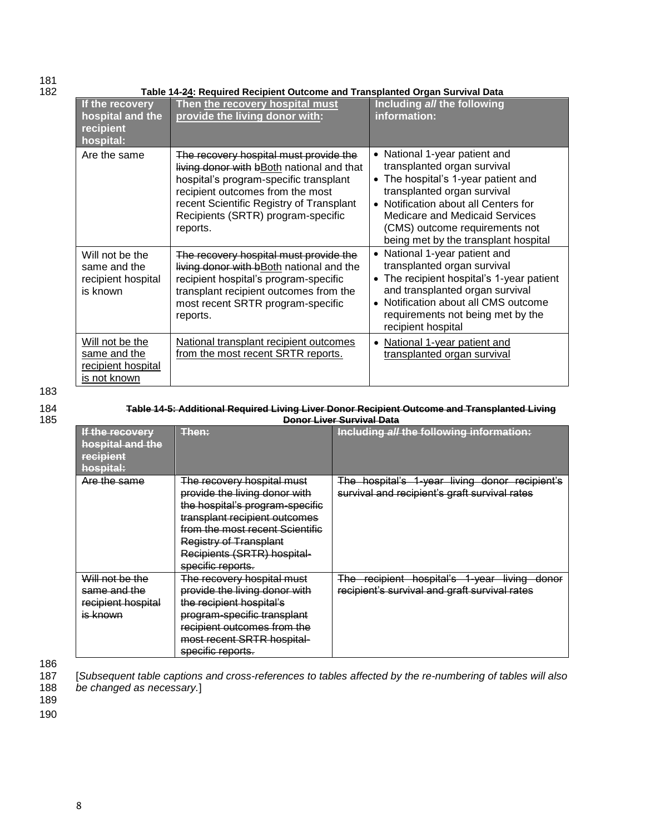## 181<br>182

182 **Table 14-24: Required Recipient Outcome and Transplanted Organ Survival Data**

| If the recovery<br>hospital and the<br>recipient<br>hospital:         | Then the recovery hospital must<br>provide the living donor with:                                                                                                                                                                                               | Including all the following<br>information:                                                                                                                                                                                                                                                                             |
|-----------------------------------------------------------------------|-----------------------------------------------------------------------------------------------------------------------------------------------------------------------------------------------------------------------------------------------------------------|-------------------------------------------------------------------------------------------------------------------------------------------------------------------------------------------------------------------------------------------------------------------------------------------------------------------------|
| Are the same                                                          | The recovery hospital must provide the<br>living donor with bBoth national and that<br>hospital's program-specific transplant<br>recipient outcomes from the most<br>recent Scientific Registry of Transplant<br>Recipients (SRTR) program-specific<br>reports. | National 1-year patient and<br>$\bullet$<br>transplanted organ survival<br>The hospital's 1-year patient and<br>$\bullet$<br>transplanted organ survival<br>Notification about all Centers for<br>$\bullet$<br>Medicare and Medicaid Services<br>(CMS) outcome requirements not<br>being met by the transplant hospital |
| Will not be the<br>same and the<br>recipient hospital<br>is known     | The recovery hospital must provide the<br>living donor with bBoth national and the<br>recipient hospital's program-specific<br>transplant recipient outcomes from the<br>most recent SRTR program-specific<br>reports.                                          | National 1-year patient and<br>transplanted organ survival<br>The recipient hospital's 1-year patient<br>$\bullet$<br>and transplanted organ survival<br>Notification about all CMS outcome<br>requirements not being met by the<br>recipient hospital                                                                  |
| Will not be the<br>same and the<br>recipient hospital<br>is not known | National transplant recipient outcomes<br>from the most recent SRTR reports.                                                                                                                                                                                    | National 1-year patient and<br>transplanted organ survival                                                                                                                                                                                                                                                              |

183

| 184 | Table 14-5: Additional Required Living Liver Donor Recipient Outcome and Transplanted Living |
|-----|----------------------------------------------------------------------------------------------|
| 185 | <b>Donor Liver Survival Data</b>                                                             |

| If the recovery<br>hospital and the<br>recipient<br>hospital:     | Thon:<br>.                                                                                                                                                                                                                                              | Including all the following information:                                                         |
|-------------------------------------------------------------------|---------------------------------------------------------------------------------------------------------------------------------------------------------------------------------------------------------------------------------------------------------|--------------------------------------------------------------------------------------------------|
| Are the same                                                      | The recovery hospital must<br>provide the living donor with<br>the hospital's program-specific<br>transplant recipient outcomes<br>from the most recent Scientific<br><b>Registry of Transplant</b><br>Recipients (SRTR) hospital-<br>specific reports. | The hospital's 1-year living donor recipient's<br>survival and recipient's graft survival rates  |
| Will not be the<br>same and the<br>recipient hospital<br>is known | The recovery hospital must<br>provide the living donor with<br>the recipient hospital's<br>program-specific transplant<br>recipient outcomes from the<br>most recent SRTR hospital-<br>specific reports.                                                | The recipient hospital's 1-year living<br>donor<br>recipient's survival and graft survival rates |

186<br>187

187 [*Subsequent table captions and cross-references to tables affected by the re-numbering of tables will also*  188 *be changed as necessary.*]

189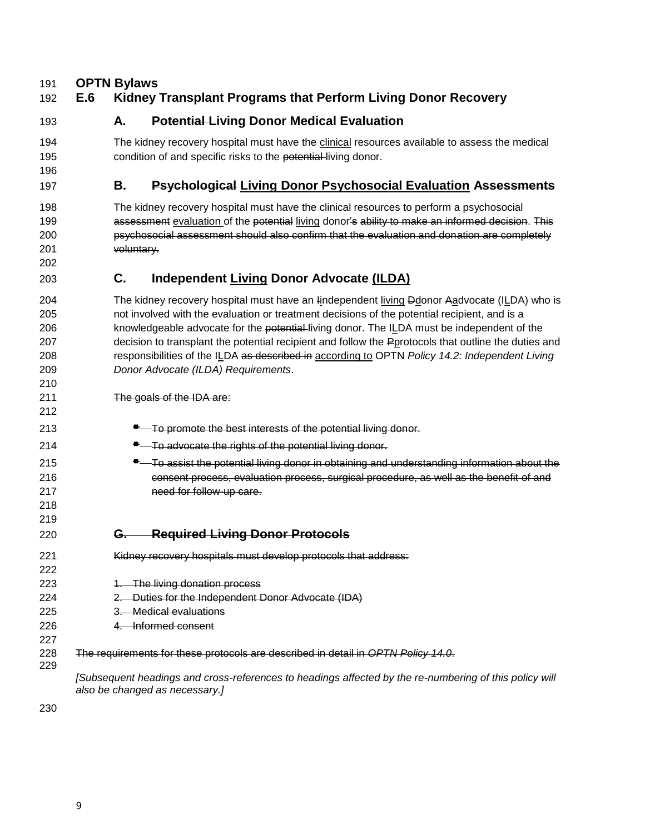#### **OPTN Bylaws**

#### **E.6 Kidney Transplant Programs that Perform Living Donor Recovery**

 

#### **A. Potential Living Donor Medical Evaluation**

194 The kidney recovery hospital must have the clinical resources available to assess the medical 195 condition of and specific risks to the potential living donor.

#### **B. Psychological Living Donor Psychosocial Evaluation Assessments**

 The kidney recovery hospital must have the clinical resources to perform a psychosocial **assessment evaluation of the potential living donor's ability to make an informed decision. This**  psychosocial assessment should also confirm that the evaluation and donation are completely voluntary.

#### **C. Independent Living Donor Advocate (ILDA)**

 The kidney recovery hospital must have an Iindependent living Ddonor Aadvocate (ILDA) who is not involved with the evaluation or treatment decisions of the potential recipient, and is a 206 knowledgeable advocate for the potential living donor. The ILDA must be independent of the decision to transplant the potential recipient and follow the Pprotocols that outline the duties and responsibilities of the ILDA as described in according to OPTN *Policy 14.2: Independent Living Donor Advocate (ILDA) Requirements*. 

The goals of the IDA are:

- **To promote the best interests of the potential living donor.**
- **T**—To advocate the rights of the potential living donor.
- **To assist the potential living donor in obtaining and understanding information about the**  consent process, evaluation process, surgical procedure, as well as the benefit of and need for follow-up care.

#### **G. Required Living Donor Protocols**

- Kidney recovery hospitals must develop protocols that address:
- **1. The living donation process**
- 2. Duties for the Independent Donor Advocate (IDA)
- 3. Medical evaluations
- 4. Informed consent
- The requirements for these protocols are described in detail in *OPTN Policy 14.0*.

*[Subsequent headings and cross-references to headings affected by the re-numbering of this policy will also be changed as necessary.]*